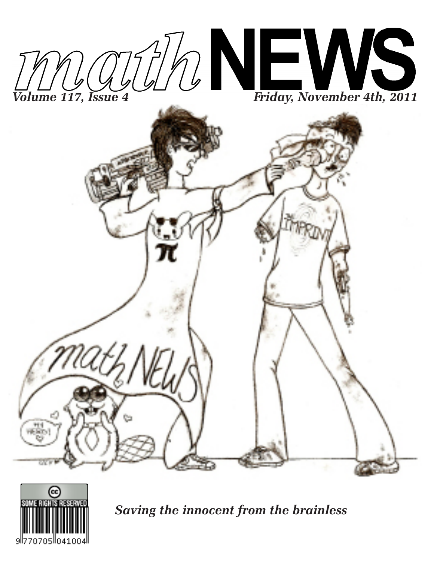



*Saving the innocent from the brainless*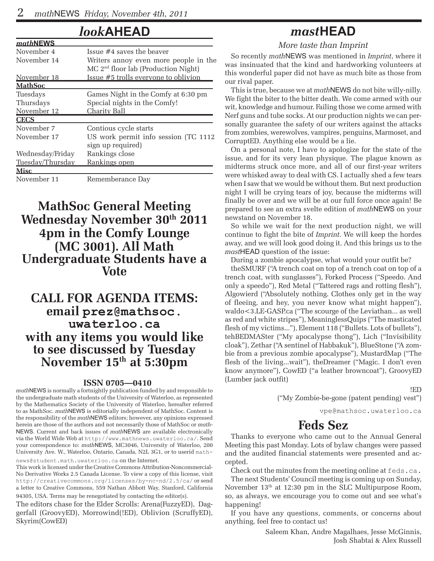*math***NEWS**

### *look***AHEAD**

| <i>mathNEWS</i>  |                                                 |  |  |  |  |
|------------------|-------------------------------------------------|--|--|--|--|
| November 4       | Issue $#4$ saves the beaver                     |  |  |  |  |
| November 14      | Writers annoy even more people in the           |  |  |  |  |
|                  | MC 2 <sup>nd</sup> floor lab (Production Night) |  |  |  |  |
| November 18      | Issue #5 trolls everyone to oblivion            |  |  |  |  |
| <u> MathSoc</u>  |                                                 |  |  |  |  |
| Tuesdays         | Games Night in the Comfy at 6:30 pm             |  |  |  |  |
| Thursdays        | Special nights in the Comfy!                    |  |  |  |  |
| November 12      | Charity Ball                                    |  |  |  |  |
| <b>CECS</b>      |                                                 |  |  |  |  |
| November 7       | Contious cycle starts                           |  |  |  |  |
| November 17      | US work permit info session (TC 1112            |  |  |  |  |
|                  | sign up required)                               |  |  |  |  |
| Wednesday/Friday | Rankings close                                  |  |  |  |  |
| Tuesday/Thursday | Rankings open                                   |  |  |  |  |
| <b>Misc</b>      |                                                 |  |  |  |  |
| November 11      | Rememberance Day                                |  |  |  |  |

### **MathSoc General Meeting Wednesday November 30th 2011 4pm in the Comfy Lounge (MC 3001). All Math Undergraduate Students have a Vote**

### **CALL FOR AGENDA ITEMS: email prez@mathsoc. uwaterloo.ca with any items you would like to see discussed by Tuesday November 15th at 5:30pm**

#### **ISSN 0705—0410**

*math*NEWS is normally a fortnightly publication funded by and responsible to the undergraduate math students of the University of Waterloo, as represented by the Mathematics Society of the University of Waterloo, hereafter referred to as MathSoc. *math*NEWS is editorially independent of MathSoc. Content is the responsibility of the *math*NEWS editors; however, any opinions expressed herein are those of the authors and not necessarily those of MathSoc or *math-*NEWS. Current and back issues of *math*NEWS are available electronically via the World Wide Web at http://www.mathnews.uwaterloo.ca/. Send your correspondence to: *math*NEWS, MC3046, University of Waterloo, 200 University Ave. W., Waterloo, Ontario, Canada, N2L 3G1, or to userid mathnews@student.math.uwaterloo.ca on the Internet.

This work is licensed under the Creative Commons Attribution-Noncommercial-No Derivative Works 2.5 Canada License. To view a copy of this license, visit http://creativecommons.org/licenses/by-nc-nd/2.5/ca/ or send a letter to Creative Commons, 559 Nathan Abbott Way, Stanford, California 94305, USA. Terms may be renegotiated by contacting the editor(s).

The editors chase for the Elder Scrolls: Arena(FuzzyED), Daggerfall (GroovyED), Morrowind(!ED), Oblivion (ScruffyED), Skyrim(CowED)

## *mast***HEAD**

*More taste than Imprint*

So recently *math*NEWS was mentioned in *Imprint*, where it was insinuated that the kind and hardworking volunteers at this wonderful paper did not have as much bite as those from our rival paper.

This is true, because we at *math*NEWS do not bite willy-nilly. We fight the biter to the bitter death. We come armed with our wit, knowledge and humour. Failing those we come armed with Nerf guns and tube socks. At our production nights we can personally guarantee the safety of our writers against the attacks from zombies, werewolves, vampires, penguins, Marmoset, and CorruptED. Anything else would be a lie.

On a personal note, I have to apologize for the state of the issue, and for its very lean physique. The plague known as midterms struck once more, and all of our first-year writers were whisked away to deal with CS. I actually shed a few tears when I saw that we would be without them. But next production night I will be crying tears of joy, because the midterms will finally be over and we will be at our full force once again! Be prepared to see an extra svelte edition of *math*NEWS on your newstand on November 18.

So while we wait for the next production night, we will continue to fight the bite of *Imprint*. We will keep the hordes away, and we will look good doing it. And this brings us to the *mast*HEAD question of the issue:

During a zombie apocalypse, what would your outfit be?

theSMURF ("A trench coat on top of a trench coat on top of a trench coat, with sunglasses"), Forked Process ("Speedo. And only a speedo"), Red Metal ("Tattered rags and rotting flesh"), Algowierd ("Absolutely nothing. Clothes only get in the way of fleeing, and hey, you never know what might happen"), waldo<3.LE-GASP.ca ("The scourge of the Leviathan... as well as red and white stripes"), MeaninglessQuips ("The masticated flesh of my victims..."), Element 118 ("Bullets. Lots of bullets"), tehBEDMASter ("My apocalypse thong"), Lich ("Invisibility cloak"), Zethar ("A sentinel of Habbakuk"), BlueStone ("A zombie from a previous zombie apocalypse"), MustardMap ("The flesh of the living...wait"), theDreamer ("Magic. I don't even know anymore"), CowED ("a leather browncoat"), GroovyED (Lumber jack outfit)

!ED

("My Zombie-be-gone (patent pending) vest")

vpe@mathsoc.uwaterloo.ca

## **Feds Sez**

Thanks to everyone who came out to the Annual General Meeting this past Monday. Lots of bylaw changes were passed and the audited financial statements were presented and accepted.

Check out the minutes from the meeting online at feds.ca.

The next Students' Council meeting is coming up on Sunday, November 13th at 12:30 pm in the SLC Multipurpose Room, so, as always, we encourage you to come out and see what's happening!

If you have any questions, comments, or concerns about anything, feel free to contact us!

> Saleem Khan, Andre Magalhaes, Jesse McGinnis, Josh Shabtai & Alex Russell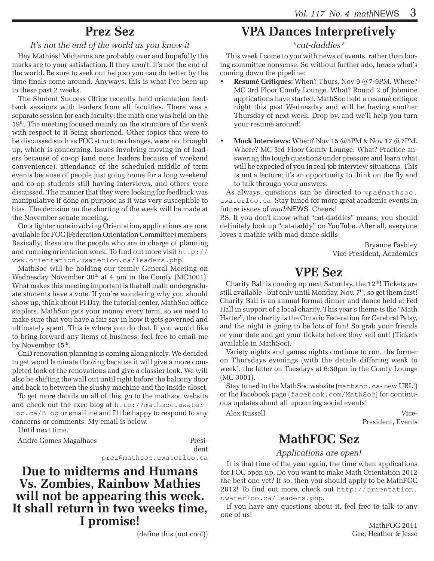## **Prez Sez**

### *It's not the end of the world as you know it*

Hey Mathies! Midterms are probably over and hopefully the marks are to your satisfaction. If they aren't, it's not the end of the world. Be sure to seek out help so you can do better by the time finals come around. Anyways, this is what I've been up to these past 2 weeks.

The Student Success Office recently held orientation feedback sessions with leaders from all faculties. There was a separate session for each faculty; the math one was held on the 19<sup>th</sup>. The meeting focused mainly on the structure of the week with respect to it being shortened. Other topics that were to be discussed such as FOC structure changes, were not brought up, which is concerning. Issues involving moving in of leaders because of co-op (and none leaders because of weekend convenience), attendance of the scheduled middle of term events because of people just going home for a long weekend and co-op students still having interviews, and others were discussed. The manner that they were looking for feedback was manipulative if done on purpose as it was very susceptible to bias. The decision on the shorting of the week will be made at the November senate meeting.

On a lighter note involving Orientation, applications are now available for FOC (Federation Orientation Committee) members. Basically, these are the people who are in charge of planning and running orientation week. To find out more visit http:// www.orientation.uwaterloo.ca/leaders.php.

MathSoc will be holding our termly General Meeting on Wednesday November  $30<sup>th</sup>$  at 4 pm in the Comfy (MC3001). What makes this meeting important is that all math undergraduate students have a vote. If you're wondering why you should show up, think about Pi Day, the tutorial center, MathSoc office staplers. MathSoc gets your money every term, so we need to make sure that you have a fair say in how it gets governed and ultimately spent. This is where you do that. If you would like to bring forward any items of business, feel free to email me by November 15<sup>th</sup>.

CnD renovation planning is coming along nicely. We decided to get wood laminate flooring because it will give a more completed look of the renovations and give a classier look. We will also be shifting the wall out until right before the balcony door and back to between the slushy machine and the inside closet.

To get more details on all of this, go to the mathsoc website and check out the exec blog at http://mathsoc.uwaterloo.ca/Blog or email me and I'll be happy to respond to any concerns or comments. My email is below.

Until next time.

Andre Gomes Magalhaes Presi-

dent

prez@mathsoc.uwaterloo.ca

**Due to midterms and Humans Vs. Zombies, Rainbow Mathies will not be appearing this week. It shall return in two weeks time, I promise!**

(define this (not cool))

# **VPA Dances Interpretively**

*\*cat-daddies\**

This week I come to you with news of events, rather than boring committee nonsense. So without further ado, here's what's coming down the pipeline:

- **Resumé Critiques:** When? Thurs, Nov 9 @7-9PM. Where? MC 3rd Floor Comfy Lounge. What? Round 2 of Jobmine applications have started. MathSoc held a resumé critique night this past Wednesday and will be having another Thursday of next week. Drop by, and we'll help you turn your resumé around!
- • **Mock Interviews:** When? Nov 15 @5PM & Nov 17 @7PM. Where? MC 3rd Floor Comfy Lounge. What? Practice answering the tough questions under pressure and learn what will be expected of you in real job interview situations. This is not a lecture; it's an opportunity to think on the fly and to talk through your answers.

As always, questions can be directed to vpa@mathsoc. uwaterloo.ca. Stay tuned for more great academic events in future issues of *math*NEWS. Cheers!

P.S. If you don't know what "cat-daddies" means, you should definitely look up "cat-daddy" on YouTube. After all, everyone loves a mathie with mad dance skills.

> Bryanne Pashley Vice-President, Academics

# **VPE Sez**

Charity Ball is coming up next Saturday, the 12<sup>th</sup>! Tickets are still available - but only until Monday, Nov. 7<sup>th</sup>, so get them fast! Charity Ball is an annual formal dinner and dance held at Fed Hall in support of a local charity. This year's theme is the "Math Hatter", the charity is the Ontario Federation for Cerebral Palsy, and the night is going to be lots of fun! So grab your friends or your date and get your tickets before they sell out! (Tickets available in MathSoc).

Variety nights and games nights continue to run, the former on Thursdays evenings (with the details differing week to week), the latter on Tuesdays at 6:30pm in the Comfy Lounge (MC 3001).

Stay tuned to the MathSoc website (mathsoc.ca- new URL!) or the Facebook page (facebook.com/MathSoc) for continuous updates about all upcoming social events!

Alex Russell Vice-

President, Events

## **MathFOC Sez**

### *Applications are open!*

It is that time of the year again, the time when applications for FOC open up. Do you want to make Math Orientation 2012 the best one yet? If so, then you should apply to be MathFOC 2012! To find out more, check out http://orientation. uwaterloo.ca/leaders.php.

If you have any questions about it, feel free to talk to any one of us!

> MathFOC 2011 Gee, Heather & Jesse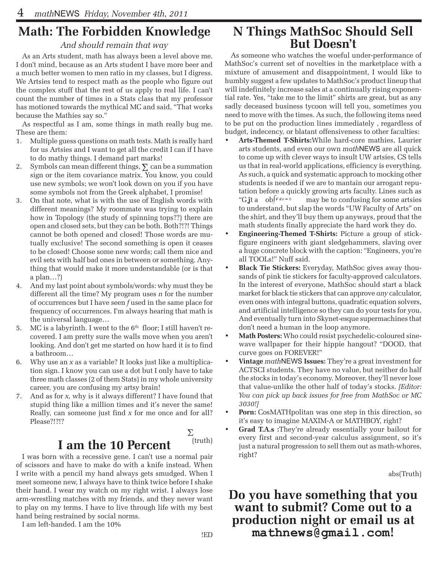# **Math: The Forbidden Knowledge**

### *And should remain that way*

As an Arts student, math has always been a level above me. I don't mind, because as an Arts student I have more beer and a much better women to men ratio in my classes, but I digress. We Artsies tend to respect math as the people who figure out the complex stuff that the rest of us apply to real life. I can't count the number of times in a Stats class that my professor has motioned towards the mythical MC and said, "That works because the Mathies say so."

As respectful as I am, some things in math really bug me. These are them:

- 1. Multiple guess questions on math tests. Math is really hard for us Artsies and I want to get all the credit I can if I have to do mathy things. I demand part marks!
- 2. Symbols can mean different things,  $\Sigma$  can be a summation sign or the item covariance matrix. You know, you could use new symbols; we won't look down on you if you have some symbols not from the Greek alphabet, I promise!
- 3. On that note, what is with the use of English words with different meanings? My roommate was trying to explain how in Topology (the study of spinning tops??) there are open and closed sets, but they can be both. Both?!?! Things cannot be both opened and closed! Those words are mutually exclusive! The second something is open it ceases to be closed! Choose some new words; call them nice and evil sets with half bad ones in between or something. Anything that would make it more understandable (or is that a plan…?)
- 4. And my last point about symbols/words: why must they be different all the time? My program uses *n* for the number of occurrences but I have seen *f* used in the same place for frequency of occurrences. I'm always hearing that math is the universal language…
- 5. MC is a labyrinth. I went to the  $6<sup>th</sup>$  floor; I still haven't recovered. I am pretty sure the walls move when you aren't looking. And don't get me started on how hard it is to find a bathroom…
- 6. Why use an *x* as a variable? It looks just like a multiplication sign. I know you can use a dot but I only have to take three math classes (2 of them Stats) in my whole university career, you are confusing my artsy brain!
- 7. And as for *x,* why is it always different? I have found that stupid thing like a million times and it's never the same! Really, can someone just find *x* for me once and for all? Please?!?!?

# I am the 10 Percent <sup>(truth)</sup>

I was born with a recessive gene. I can't use a normal pair of scissors and have to make do with a knife instead. When I write with a pencil my hand always gets smudged. When I meet someone new, I always have to think twice before I shake their hand. I wear my watch on my right wrist. I always lose arm-wrestling matches with my friends, and they never want to play on my terms. I have to live through life with my best hand being restrained by social norms.

I am left-handed. I am the 10%

## **N Things MathSoc Should Sell But Doesn't**

As someone who watches the woeful under-performance of MathSoc's current set of novelties in the marketplace with a mixture of amusement and disappointment, I would like to humbly suggest a few updates to MathSoc's product lineup that will indefinitely increase sales at a continually rising exponential rate. Yes, "take me to the limit" shirts are great, but as any sadly deceased business tycoon will tell you, sometimes you need to move with the times. As such, the following items need to be put on the production lines immediately , regardless of budget, indecency, or blatant offensiveness to other faculties:

- Arts-Themed T-Shirts: While hard-core mathies, Laurier arts students, and even our own *math*NEWS are all quick to come up with clever ways to insult UW artsies, CS tells us that in real-world applications, efficiency is everything. As such, a quick and systematic approach to mocking other students is needed if we are to mantain our arrogant reputation before a quickly growing arts faculty. Lines such as "Gift a ob  $\int F \, dx = 0$  may be to confusing for some artsies to understand, but slap the words "UW Faculty of Arts" on the shirt, and they'll buy them up anyways, proud that the math students finally appreciate the hard work they do.
- **Engineering-Themed T-Shirts:** Picture a group of stickfigure engineers with giant sledgehammers, slaving over a huge concrete block with the caption: "Engineers, you're all TOOLs!" Nuff said.
- **Black Tie Stickers:** Everyday, MathSoc gives away thousands of pink tie stickers for faculty-approved calculators. In the interest of everyone, MathSoc should start a black market for black tie stickers that can approve *any* calculator, even ones with integral buttons, quadratic equation solvers, and artificial intelligence so they can do your tests for you. And eventually turn into Skynet-esque supermachines that don't need a human in the loop anymore.
- **Math Posters:** Who could resist psychedelic-coloured sinewave wallpaper for their hippie hangout? "DOOD, that curve goes on FOREVER!"
- **Vintage** mathNEWS Issues: They're a great investment for ACTSCI students. They have no value, but neither do half the stocks in today's economy. Moreover, they'll never lose that value-unlike the other half of today's stocks. *[Editor: You can pick up back issues for free from MathSoc or MC 3030!]*
- **Porn:** CosMATH politan was one step in this direction, so it's easy to imagine MAXIM-A or MATHBOY, right?
- **Grad T.A.s** :They're already essentially your bailout for every first and second-year calculus assignment, so it's just a natural progression to sell them out as math-whores, right?

abs(Truth)

### **Do you have something that you want to submit? Come out to a production night or email us at mathnews@gmail.com!**

Σ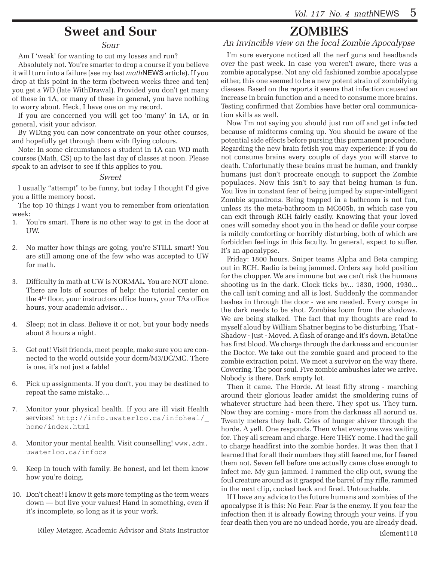## **Sweet and Sour**

#### *Sour*

Am I 'weak' for wanting to cut my losses and run?

Absolutely not. You're smarter to drop a course if you believe it will turn into a failure (see my last *math*NEWS article). If you drop at this point in the term (between weeks three and ten) you get a WD (late WithDrawal). Provided you don't get many of these in 1A, or many of these in general, you have nothing to worry about. Heck, I have one on my record.

If you are concerned you will get too 'many' in 1A, or in general, visit your advisor.

By WDing you can now concentrate on your other courses, and hopefully get through them with flying colours.

Note: In some circumstances a student in 1A can WD math courses (Math, CS) up to the last day of classes at noon. Please speak to an advisor to see if this applies to you.

#### *Sweet*

I usually "attempt" to be funny, but today I thought I'd give you a little memory boost.

The top 10 things I want you to remember from orientation week:

- 1. You're smart. There is no other way to get in the door at UW.
- 2. No matter how things are going, you're STILL smart! You are still among one of the few who was accepted to UW for math.
- 3. Difficulty in math at UW is NORMAL. You are NOT alone. There are lots of sources of help: the tutorial center on the 4th floor, your instructors office hours, your TAs office hours, your academic advisor…
- 4. Sleep; not in class. Believe it or not, but your body needs about 8 hours a night.
- 5. Get out! Visit friends, meet people, make sure you are connected to the world outside your dorm/M3/DC/MC. There is one, it's not just a fable!
- 6. Pick up assignments. If you don't, you may be destined to repeat the same mistake…
- 7. Monitor your physical health. If you are ill visit Health services! http://info.uwaterloo.ca/infoheal/\_ home/index.html
- Monitor your mental health. Visit counselling! www.adm. uwaterloo.ca/infocs
- 9. Keep in touch with family. Be honest, and let them know how you're doing.
- 10. Don't cheat! I know it gets more tempting as the term wears down — but live your values! Hand in something, even if it's incomplete, so long as it is your work.

Riley Metzger, Academic Advisor and Stats Instructor

# **ZOMBIES**

*An invincible view on the local Zombie Apocalypse*

I'm sure everyone noticed all the nerf guns and headbands over the past week. In case you weren't aware, there was a zombie apocalypse. Not any old fashioned zombie apocalypse either, this one seemed to be a new potent strain of zombifying disease. Based on the reports it seems that infection caused an increase in brain function and a need to consume more brains. Testing confirmed that Zombies have better oral communication skills as well.

Now I'm not saying you should just run off and get infected because of midterms coming up. You should be aware of the potential side effects before pursing this permanent procedure. Regarding the new brain fetish you may experience: If you do not consume brains every couple of days you will starve to death. Unfortunatly these brains must be human, and frankly humans just don't procreate enough to support the Zombie populaces. Now this isn't to say that being human is fun. You live in constant fear of being jumped by super-intelligent Zombie squadrons. Being trapped in a bathroom is not fun, unless its the meta-bathroom in MC605b, in which case you can exit through RCH fairly easily. Knowing that your loved ones will someday shoot you in the head or defile your corpse is mildly comforting or horribly disturbing, both of which are forbidden feelings in this faculty. In general, expect to suffer. It's an apocalypse.

Friday: 1800 hours. Sniper teams Alpha and Beta camping out in RCH. Radio is being jammed. Orders say hold position for the chopper. We are immune but we can't risk the humans shooting us in the dark. Clock ticks by... 1830, 1900, 1930... the call isn't coming and all is lost. Suddenly the commander bashes in through the door - we are needed. Every corspe in the dark needs to be shot. Zombies loom from the shadows. We are being stalked. The fact that my thoughts are read to myself aloud by William Shatner begins to be disturbing. That - Shadow - Just - Moved. A flash of orange and it's down. BetaOne has first blood. We charge through the darkness and encounter the Doctor. We take out the zombie guard and proceed to the zombie extraction point. We meet a survivor on the way there. Cowering. The poor soul. Five zombie ambushes later we arrive. Nobody is there. Dark empty lot.

Then it came. The Horde. At least fifty strong - marching around their glorious leader amidst the smoldering ruins of whatever structure had been there. They spot us. They turn. Now they are coming - more from the darkness all aorund us. Twenty meters they halt. Cries of hunger shiver through the horde. A yell. One responds. Then what everyone was waiting for. They all scream and charge. Here THEY come. I had the gall to charge headfirst into the zombie hordes. It was then that I learned that for all their numbers they still feared me, for I feared them not. Seven fell before one actually came close enough to infect me. My gun jammed. I rammed the clip out, swung the foul creature around as it grasped the barrel of my rifle, rammed in the next clip, cocked back and fired. Untouchable.

If I have any advice to the future humans and zombies of the apocalypse it is this: No Fear. Fear is the enemy. If you fear the infection then it is already flowing through your veins. If you fear death then you are no undead horde, you are already dead.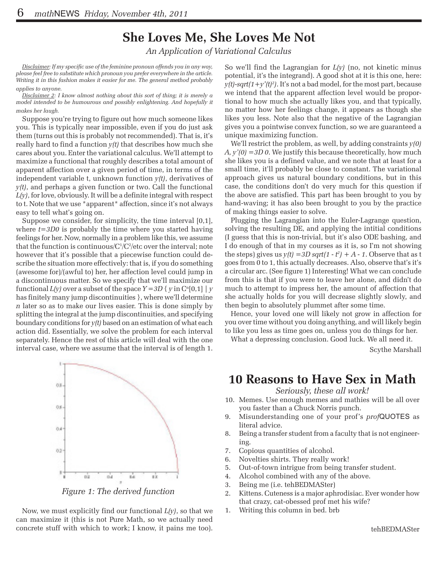# **She Loves Me, She Loves Me Not**

*An Application of Variational Calculus*

*Disclaimer: If my specific use of the feminine pronoun offends you in any way, please feel free to substitute which pronoun you prefer everywhere in the article. Writing it in this fashion makes it easier for me. The general method probably applies to anyone.*

*Disclaimer 2: I know almost nothing about this sort of thing; it is merely a model intended to be humourous and possibly enlightening. And hopefully it makes her laugh.*

Suppose you're trying to figure out how much someone likes you. This is typically near impossible, even if you do just ask them (turns out this is probably not recommended). That is, it's really hard to find a function *y(t)* that describes how much she cares about you. Enter the variational calculus. We'll attempt to maximize a functional that roughly describes a total amount of apparent affection over a given period of time, in terms of the independent variable t, unknown function *y(t)*, derivatives of *y(t)*, and perhaps a given function or two. Call the functional *L(y)*, for love, obviously. It will be a definite integral with respect to t. Note that we use \*apparent\* affection, since it's not always easy to tell what's going on.

Suppose we consider, for simplicity, the time interval [0,1], where *t=3D0* is probably the time where you started having feelings for her. Now, normally in a problem like this, we assume that the function is continuous/C $1/C^2$ /etc over the interval; note however that it's possible that a piecewise function could describe the situation more effectively: that is, if you do something (awesome for)/(awful to) her, her affection level could jump in a discontinuous matter. So we specify that we'll maximize our functional  $L(y)$  over a subset of the space  $Y = 3D \{ y \in C^n[0,1] \mid y \}$ has finitely many jump discontinuities }, where we'll determine *n* later so as to make our lives easier. This is done simply by splitting the integral at the jump discontinuities, and specifying boundary conditions for *y(t)* based on an estimation of what each action did. Essentially, we solve the problem for each interval separately. Hence the rest of this article will deal with the one interval case, where we assume that the interval is of length 1.

So we'll find the Lagrangian for *L(y)* (no, not kinetic minus potential, it's the integrand). A good shot at it is this one, here:  $y(t)$ -sqrt $(1+y'(t)^2)$ . It's not a bad model, for the most part, because we intend that the apparent affection level would be proportional to how much she actually likes you, and that typically, no matter how her feelings change, it appears as though she likes you less. Note also that the negative of the Lagrangian gives you a pointwise convex function, so we are guaranteed a unique maximizing function.

We'll restrict the problem, as well, by adding constraints *y(0) A, y'(0) =3D 0*. We justify this because theoretically, how much she likes you is a defined value, and we note that at least for a small time, it'll probably be close to constant. The variational approach gives us natural boundary conditions, but in this case, the conditions don't do very much for this question if the above are satisfied. This part has been brought to you by hand-waving; it has also been brought to you by the practice of making things easier to solve.

Plugging the Lagrangian into the Euler-Lagrange question, solving the resulting DE, and applying the intitial conditions (I guess that this is non-trivial, but it's also ODE bashing, and I do enough of that in my courses as it is, so I'm not showing the steps) gives us  $y(t) = 3D \sqrt{3}t(1 - t^2) + A - 1$ . Observe that as t goes from 0 to 1, this actually decreases. Also, observe that's it's a circular arc. (See figure 1) Interesting! What we can conclude from this is that if you were to leave her alone, and didn't do much to attempt to impress her, the amount of affection that she actually holds for you will decrease slightly slowly, and then begin to absolutely plummet after some time.

Hence, your loved one will likely not grow in affection for you over time without you doing anything, and will likely begin to like you less as time goes on, unless you do things for her.

What a depressing conclusion. Good luck. We all need it.

Scythe Marshall



*Figure 1: The derived function*

Now, we must explicitly find our functional *L(y)*, so that we can maximize it (this is not Pure Math, so we actually need concrete stuff with which to work; I know, it pains me too).

# **10 Reasons to Have Sex in Math**

*Seriously, these all work!*

- 10. Memes. Use enough memes and mathies will be all over you faster than a Chuck Norris punch.
- 9. Misunderstanding one of your prof's *prof*QUOTES as literal advice.
- 8. Being a transfer student from a faculty that is not engineering.
- 7. Copious quantities of alcohol.
- 6. Novelties shirts. They really work!
- 5. Out-of-town intrigue from being transfer student.
- 4. Alcohol combined with any of the above.
- 3. Being me (i.e. tehBEDMASter)
- 2. Kittens. Cuteness is a major aphrodisiac. Ever wonder how that crazy, cat-obessed prof met his wife?
- 1. Writing this column in bed. brb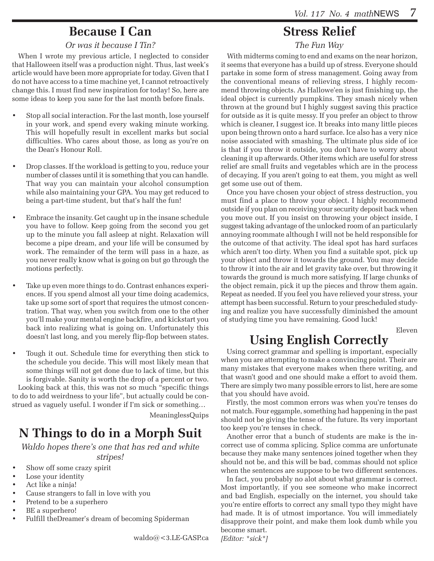## **Because I Can**

### *Or was it because I Tin?*

When I wrote my previous article, I neglected to consider that Halloween itself was a production night. Thus, last week's article would have been more appropriate for today. Given that I do not have access to a time machine yet, I cannot retroactively change this. I must find new inspiration for today! So, here are some ideas to keep you sane for the last month before finals.

- Stop all social interaction. For the last month, lose yourself in your work, and spend every waking minute working. This will hopefully result in excellent marks but social difficulties. Who cares about those, as long as you're on the Dean's Honour Roll.
- Drop classes. If the workload is getting to you, reduce your number of classes until it is something that you can handle. That way you can maintain your alcohol consumption while also maintaining your GPA. You may get reduced to being a part-time student, but that's half the fun!
- Embrace the insanity. Get caught up in the insane schedule you have to follow. Keep going from the second you get up to the minute you fall asleep at night. Relaxation will become a pipe dream, and your life will be consumed by work. The remainder of the term will pass in a haze, as you never really know what is going on but go through the motions perfectly.
- Take up even more things to do. Contrast enhances experiences. If you spend almost all your time doing academics, take up some sort of sport that requires the utmost concentration. That way, when you switch from one to the other you'll make your mental engine backfire, and kickstart you back into realizing what is going on. Unfortunately this doesn't last long, and you merely flip-flop between states.
- Tough it out. Schedule time for everything then stick to the schedule you decide. This will most likely mean that some things will not get done due to lack of time, but this is forgivable. Sanity is worth the drop of a percent or two. Looking back at this, this was not so much "specific things to do to add weirdness to your life", but actually could be construed as vaguely useful. I wonder if I'm sick or something…

MeaninglessQuips

# **N Things to do in a Morph Suit**

*Waldo hopes there's one that has red and white stripes!*

- Show off some crazy spirit
- Lose your identity
- Act like a ninja!
- Cause strangers to fall in love with you
- Pretend to be a superhero
- BE a superhero!
- Fulfill theDreamer's dream of becoming Spiderman

## **Stress Relief**

*The Fun Way*

With midterms coming to end and exams on the near horizon, it seems that everyone has a build up of stress. Everyone should partake in some form of stress management. Going away from the conventional means of relieving stress, I highly recommend throwing objects. As Hallowe'en is just finishing up, the ideal object is currently pumpkins. They smash nicely when thrown at the ground but I highly suggest saving this practice for outside as it is quite messy. If you prefer an object to throw which is cleaner, I suggest ice. It breaks into many little pieces upon being thrown onto a hard surface. Ice also has a very nice noise associated with smashing. The ultimate plus side of ice is that if you throw it outside, you don't have to worry about cleaning it up afterwards. Other items which are useful for stress relief are small fruits and vegetables which are in the process of decaying. If you aren't going to eat them, you might as well get some use out of them.

Once you have chosen your object of stress destruction, you must find a place to throw your object. I highly recommend outside if you plan on receiving your security deposit back when you move out. If you insist on throwing your object inside, I suggest taking advantage of the unlocked room of an particularly annoying roommate although I will not be held responsible for the outcome of that activity. The ideal spot has hard surfaces which aren't too dirty. When you find a suitable spot, pick up your object and throw it towards the ground. You may decide to throw it into the air and let gravity take over, but throwing it towards the ground is much more satisfying. If large chunks of the object remain, pick it up the pieces and throw them again. Repeat as needed. If you feel you have relieved your stress, your attempt has been successful. Return to your prescheduled studying and realize you have successfully diminished the amount of studying time you have remaining. Good luck!

Eleven

# **Using English Correctly**

Using correct grammar and spelling is important, especially when you are attempting to make a convincing point. Their are many mistakes that everyone makes when there writing, and that wasn't good and one should make a effort to avoid them. There are simply two many possible errors to list, here are some that you should have avoid.

Firstly, the most common errors was when you're tenses do not match. Four eggample, something had happening in the past should not be giving the tense of the future. Its very important too keep you're tenses in check.

Another error that a bunch of students are make is the incorrect use of comma splicing. Splice comma are unfortunate because they make many sentences joined together when they should not be, and this will be bad, commas should not splice when the sentences are suppose to be two different sentences.

In fact, you probably no alot about what grammar is correct. Most importantly, if you see someone who make incorrect and bad English, especially on the internet, you should take you're entire efforts to correct any small typo they might have had made. It is of utmost importance. You will immediately disapprove their point, and make them look dumb while you become smart.

*[Editor: \*sick\*]*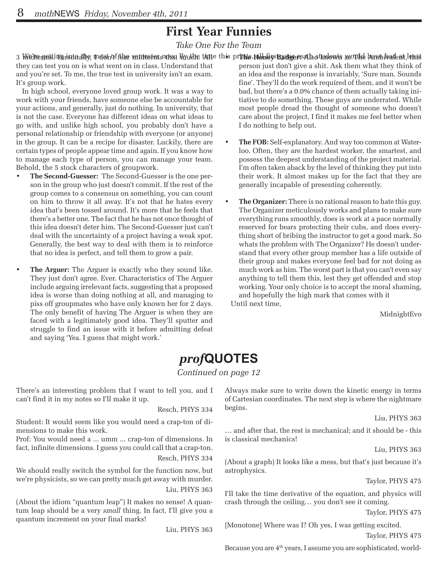## **First Year Funnies**

*Take One For the Team* 

3 Wedre goltinz istoalby, mosh of flar sondesforsumat Byulde, tame this prints, mbhliysBudge math othdowts asonke hambibadent, lehst

they can test you on is what went on in class. Understand that and you're set. To me, the true test in university isn't an exam. It's group work.

In high school, everyone loved group work. It was a way to work with your friends, have someone else be accountable for your actions, and generally, just do nothing. In university, that is not the case. Everyone has different ideas on what ideas to go with, and unlike high school, you probably don't have a personal relationship or friendship with everyone (or anyone) in the group. It can be a recipe for disaster. Luckily, there are certain types of people appear time and again. If you know how to manage each type of person, you can manage your team. Behold, the 5 stock characters of groupwork.

- The Second-Guesser: The Second-Guesser is the one person in the group who just doesn't commit. If the rest of the group comes to a consensus on something, you can count on him to throw it all away. It's not that he hates every idea that's been tossed around. It's more that he feels that there's a better one. The fact that he has not once thought of this idea doesn't deter him. The Second-Guesser just can't deal with the uncertainty of a project having a weak spot. Generally, the best way to deal with them is to reinforce that no idea is perfect, and tell them to grow a pair.
- **The Arguer:** The Arguer is exactly who they sound like. They just don't agree. Ever. Characteristics of The Arguer include arguing irrelevant facts, suggesting that a proposed idea is worse than doing nothing at all, and managing to piss off groupmates who have only known her for 2 days. The only benefit of having The Arguer is when they are faced with a legitimately good idea. They'll sputter and struggle to find an issue with it before admitting defeat and saying 'Yea. I guess that might work.'
- person just don't give a shit. Ask them what they think of an idea and the response is invariably, 'Sure man. Sounds fine'. They'll do the work required of them, and it won't be bad, but there's a 0.0% chance of them actually taking initiative to do something. These guys are underrated. While most people dread the thought of someone who doesn't care about the project, I find it makes me feel better when I do nothing to help out.
- The FOB: Self-explanatory. And way too common at Waterloo. Often, they are the hardest worker, the smartest, and possess the deepest understanding of the project material. I'm often taken aback by the level of thinking they put into their work. It almost makes up for the fact that they are generally incapable of presenting coherently.
- The Organizer: There is no rational reason to hate this guy. The Organizer meticulously works and plans to make sure everything runs smoothly, does is work at a pace normally reserved for bears protecting their cubs, and does everything short of bribing the instructor to get a good mark. So whats the problem with The Organizer? He doesn't understand that every other group member has a life outside of their group and makes everyone feel bad for not doing as much work as him. The worst part is that you can't even say anything to tell them this, lest they get offended and stop working. Your only choice is to accept the moral shaming, and hopefully the high mark that comes with it

Until next time,

MidnightEvo

# *prof***QUOTES**

*Continued on page 12*

There's an interesting problem that I want to tell you, and I can't find it in my notes so I'll make it up.

Resch, PHYS 334

Student: It would seem like you would need a crap-ton of dimensions to make this work.

Prof: You would need a ... umm ... crap-ton of dimensions. In fact, infinite dimensions. I guess you could call that a crap-ton.

Resch, PHYS 334

We should really switch the symbol for the function now, but we're physicists, so we can pretty much get away with murder. Liu, PHYS 363

(About the idiom "quantum leap") It makes no sense! A quantum leap should be a very *small* thing. In fact, I'll give you a quantum increment on your final marks!

Liu, PHYS 363

Always make sure to write down the kinetic energy in terms of Cartesian coordinates. The next step is where the nightmare begins.

Liu, PHYS 363

… and after that, the rest is mechanical; and it should be - this is classical mechanics!

Liu, PHYS 363

(About a graph) It looks like a mess, but that's just because it's astrophysics.

Taylor, PHYS 475

I'll take the time derivative of the equation, and physics will crash through the ceiling… you don't see it coming.

Taylor, PHYS 475

[Monotone] Where was I? Oh yes, I was getting excited. Taylor, PHYS 475

Because you are  $4<sup>th</sup>$  years, I assume you are sophisticated, world-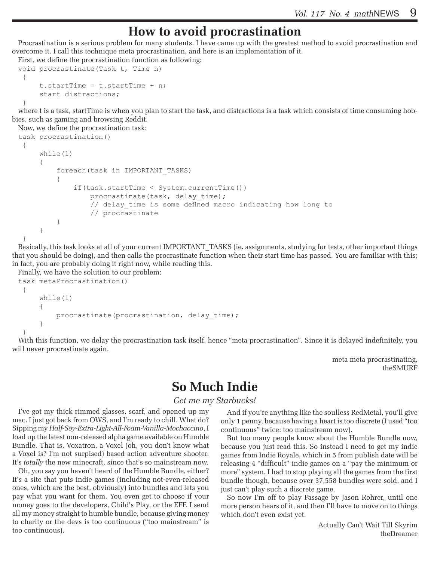### **How to avoid procrastination**

Procrastination is a serious problem for many students. I have came up with the greatest method to avoid procrastination and overcome it. I call this technique meta procrastination, and here is an implementation of it.

First, we define the procrastination function as following:

```
void procrastinate(Task t, Time n)
  {
     t.startTime = t.startTime + n;
      start distractions;
```
 } where t is a task, startTime is when you plan to start the task, and distractions is a task which consists of time consuming hobbies, such as gaming and browsing Reddit.

```
Now, we define the procrastination task: 
task procrastination()
  {
      while(1) {
            foreach(task in IMPORTANT_TASKS)
 \left\{ \begin{array}{c} 1 & 1 \\ 1 & 1 \end{array} \right\} if(task.startTime < System.currentTime())
                      procrastinate(task, delay_time);
                     // delay time is some defined macro indicating how long to
                      // procrastinate
  }
       }
 }
```
Basically, this task looks at all of your current IMPORTANT\_TASKS (ie. assignments, studying for tests, other important things that you should be doing), and then calls the procrastinate function when their start time has passed. You are familiar with this; in fact, you are probably doing it right now, while reading this.

Finally, we have the solution to our problem:

```
task metaProcrastination()
  {
      while(1)
      {
          procrastinate(procrastination, delay time);
      }
 }
```
With this function, we delay the procrastination task itself, hence "meta procrastination". Since it is delayed indefinitely, you will never procrastinate again.

> meta meta procrastinating, theSMURF

### **So Much Indie**

#### *Get me my Starbucks!*

I've got my thick rimmed glasses, scarf, and opened up my mac. I just got back from OWS, and I'm ready to chill. What do? Sipping my *Half-Soy-Extra-Light-All-Foam-Vanilla-Mochaccino*, I load up the latest non-released alpha game available on Humble Bundle. That is, Voxatron, a Voxel (oh, you don't know what a Voxel is? I'm not surpised) based action adventure shooter. It's *totally* the new minecraft, since that's so mainstream now.

Oh, you say you haven't heard of the Humble Bundle, either? It's a site that puts indie games (including not-even-released ones, which are the best, obviously) into bundles and lets you pay what you want for them. You even get to choose if your money goes to the developers, Child's Play, or the EFF. I send all my money straight to humble bundle, because giving money to charity or the devs is too continuous ("too mainstream" is too continuous).

And if you're anything like the soulless RedMetal, you'll give only 1 penny, because having a heart is too discrete (I used "too continuous" twice: too mainstream now).

But too many people know about the Humble Bundle now, because you just read this. So instead I need to get my indie games from Indie Royale, which in 5 from publish date will be releasing 4 "difficult" indie games on a "pay the minimum or more" system. I had to stop playing all the games from the first bundle though, because over 37,558 bundles were sold, and I just can't play such a discrete game.

So now I'm off to play Passage by Jason Rohrer, until one more person hears of it, and then I'll have to move on to things which don't even exist yet.

> Actually Can't Wait Till Skyrim theDreamer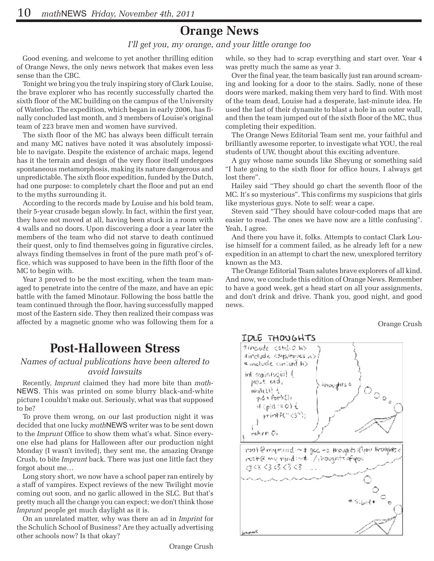## **Orange News**

### *I'll get you, my orange, and your little orange too*

Good evening, and welcome to yet another thrilling edition of Orange News, the only news network that makes even less sense than the CBC.

Tonight we bring you the truly inspiring story of Clark Louise, the brave explorer who has recently successfully charted the sixth floor of the MC building on the campus of the University of Waterloo. The expedition, which began in early 2006, has finally concluded last month, and 3 members of Louise's original team of 223 brave men and women have survived.

The sixth floor of the MC has always been difficult terrain and many MC natives have noted it was absolutely impossible to navigate. Despite the existence of archaic maps, legend has it the terrain and design of the very floor itself undergoes spontaneous metamorphosis, making its nature dangerous and unpredictable. The sixth floor expedition, funded by the Dutch, had one purpose: to completely chart the floor and put an end to the myths surrounding it.

According to the records made by Louise and his bold team, their 5-year crusade began slowly. In fact, within the first year, they have not moved at all, having been stuck in a room with 4 walls and no doors. Upon discovering a door a year later the members of the team who did not starve to death continued their quest, only to find themselves going in figurative circles, always finding themselves in front of the pure math prof's office, which was supposed to have been in the fifth floor of the MC to begin with.

Year 3 proved to be the most exciting, when the team managed to penetrate into the centre of the maze, and have an epic battle with the famed Minotaur. Following the boss battle the team continued through the floor, having successfully mapped most of the Eastern side. They then realized their compass was affected by a magnetic gnome who was following them for a

### **Post-Halloween Stress**

### *Names of actual publications have been altered to avoid lawsuits*

Recently, *Imprunt* claimed they had more bite than *math-*NEWS. This was printed on some blurry black-and-white picture I couldn't make out. Seriously, what was that supposed to be?

To prove them wrong, on our last production night it was decided that one lucky *math*NEWS writer was to be sent down to the *Imprunt* Office to show them what's what. Since everyone else had plans for Halloween after our production night Monday (I wasn't invited), they sent me, the amazing Orange Crush, to bite *Imprunt* back. There was just one little fact they forgot about me…

Long story short, we now have a school paper ran entirely by a staff of vampires. Expect reviews of the new Twilight movie coming out soon, and no garlic allowed in the SLC. But that's pretty much all the change you can expect; we don't think those *Imprunt* people get much daylight as it is.

On an unrelated matter, why was there an ad in *Imprint* for the Schulich School of Business? Are they actually advertising other schools now? Is that okay?

while, so they had to scrap everything and start over. Year 4 was pretty much the same as year 3.

Over the final year, the team basically just ran around screaming and looking for a door to the stairs. Sadly, none of these doors were marked, making them very hard to find. With most of the team dead, Louise had a desperate, last-minute idea. He used the last of their dynamite to blast a hole in an outer wall, and then the team jumped out of the sixth floor of the MC, thus completing their expedition.

The Orange News Editorial Team sent me, your faithful and brilliantly awesome reporter, to investigate what YOU, the real students of UW, thought about this exciting adventure.

A guy whose name sounds like Sheyung or something said "I hate going to the sixth floor for office hours, I always get lost there".

Hailey said "They should go chart the seventh floor of the MC. It's so mysterious". This confirms my suspicions that girls like mysterious guys. Note to self: wear a cape.

Steven said "They should have colour-coded maps that are easier to read. The ones we have now are a little confusing". Yeah, I agree.

And there you have it, folks. Attempts to contact Clark Louise himself for a comment failed, as he already left for a new expedition in an attempt to chart the new, unexplored territory known as the M3.

The Orange Editorial Team salutes brave explorers of all kind. And now, we conclude this edition of Orange News. Remember to have a good week, get a head start on all your assignments, and don't drink and drive. Thank you, good night, and good news.

Orange Crush

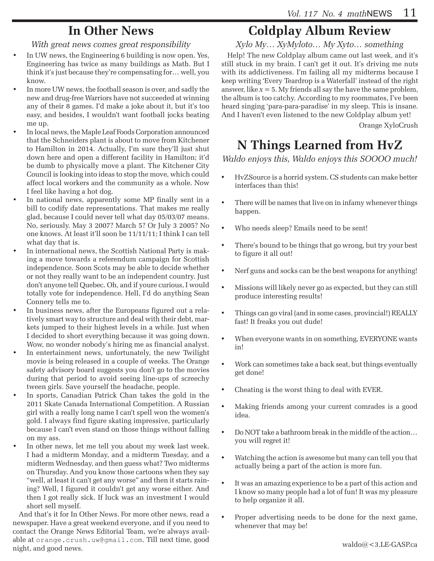## **In Other News**

*With great news comes great responsibility*

- In UW news, the Engineering 6 building is now open. Yes, Engineering has twice as many buildings as Math. But I think it's just because they're compensating for… well, you know.
- In more UW news, the football season is over, and sadly the new and drug-free Warriors have not succeeded at winning any of their 8 games. I'd make a joke about it, but it's too easy, and besides, I wouldn't want football jocks beating me up.
- In local news, the Maple Leaf Foods Corporation announced that the Schneiders plant is about to move from Kitchener to Hamilton in 2014. Actually, I'm sure they'll just shut down here and open a different facility in Hamilton; it'd be dumb to physically move a plant. The Kitchener City Council is looking into ideas to stop the move, which could affect local workers and the community as a whole. Now I feel like having a hot dog.
- In national news, apparently some MP finally sent in a bill to codify date representations. That makes me really glad, because I could never tell what day 05/03/07 means. No, seriously. May 3 2007? March 5? Or July 3 2005? No one knows. At least it'll soon be 11/11/11; I think I can tell what day that is.
- In international news, the Scottish National Party is making a move towards a referendum campaign for Scottish independence. Soon Scots may be able to decide whether or not they really want to be an independent country. Just don't anyone tell Quebec. Oh, and if youre curious, I would totally vote for independence. Hell, I'd do anything Sean Connery tells me to.
- In business news, after the Europeans figured out a relatively smart way to structure and deal with their debt, markets jumped to their highest levels in a while. Just when I decided to short everything because it was going down. Wow, no wonder nobody's hiring me as financial analyst.
- In entertainment news, unfortunately, the new Twilight movie is being released in a couple of weeks. The Orange safety advisory board suggests you don't go to the movies during that period to avoid seeing line-ups of screechy tween girls. Save yourself the headache, people.
- In sports, Canadian Patrick Chan takes the gold in the 2011 Skate Canada International Competition. A Russian girl with a really long name I can't spell won the women's gold. I always find figure skating impressive, particularly because I can't even stand on those things without falling on my ass.
- In other news, let me tell you about my week last week. I had a midterm Monday, and a midterm Tuesday, and a midterm Wednesday, and then guess what? Two midterms on Thursday. And you know those cartoons when they say "well, at least it can't get any worse" and then it starts raining? Well, I figured it couldn't get any worse either. And then I got really sick. If luck was an investment I would short sell myself.

And that's it for In Other News. For more other news, read a newspaper. Have a great weekend everyone, and if you need to contact the Orange News Editorial Team, we're always available at orange.crush.uw@gmail.com. Till next time, good night, and good news.

# **Coldplay Album Review**

*Xylo My… XyMyloto… My Xyto… something*

Help! The new Coldplay album came out last week, and it's still stuck in my brain. I can't get it out. It's driving me nuts with its addictiveness. I'm failing all my midterms because I keep writing 'Every Teardrop is a Waterfall' instead of the right answer, like  $x = 5$ . My friends all say the have the same problem, the album is too catchy. According to my roommates, I've been heard singing 'para-para-paradise' in my sleep. This is insane. And I haven't even listened to the new Coldplay album yet!

Orange XyloCrush

# **N Things Learned from HvZ**

*Waldo enjoys this, Waldo enjoys this SOOOO much!*

- HvZSource is a horrid system. CS students can make better interfaces than this!
- There will be names that live on in infamy whenever things happen.
- Who needs sleep? Emails need to be sent!
- There's bound to be things that go wrong, but try your best to figure it all out!
- Nerf guns and socks can be the best weapons for anything!
- • Missions will likely never go as expected, but they can still produce interesting results!
- Things can go viral (and in some cases, provincial!) REALLY fast! It freaks you out dude!
- When everyone wants in on something, EVERYONE wants in!
- • Work can sometimes take a back seat, but things eventually get done!
- Cheating is the worst thing to deal with EVER.
- Making friends among your current comrades is a good idea.
- Do NOT take a bathroom break in the middle of the action... you will regret it!
- Watching the action is awesome but many can tell you that actually being a part of the action is more fun.
- • It was an amazing experience to be a part of this action and I know so many people had a lot of fun! It was my pleasure to help organize it all.
- Proper advertising needs to be done for the next game, whenever that may be!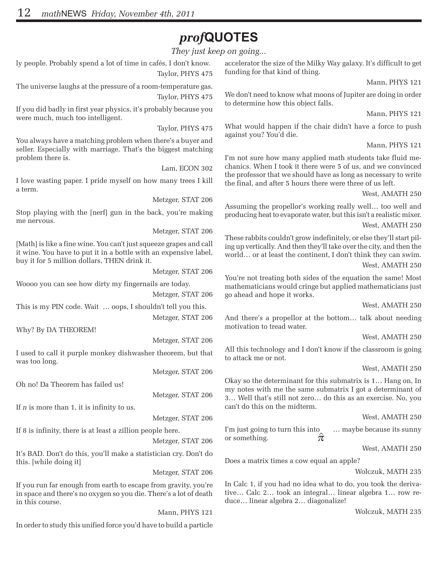# *prof***QUOTES**

*They just keep on going...*

ly people. Probably spend a lot of time in cafés, I don't know. Taylor, PHYS 475

The universe laughs at the pressure of a room-temperature gas. Taylor, PHYS 475

If you did badly in first year physics, it's probably because you were much, much too intelligent.

Taylor, PHYS 475

You always have a matching problem when there's a buyer and seller. Especially with marriage. That's the biggest matching problem there is.

Lam, ECON 302

I love wasting paper. I pride myself on how many trees I kill a term.

Metzger, STAT 206

Stop playing with the [nerf] gun in the back, you're making me nervous.

Metzger, STAT 206

[Math] is like a fine wine. You can't just squeeze grapes and call it wine. You have to put it in a bottle with an expensive label, buy it for 5 million dollars, THEN drink it.

Metzger, STAT 206

Woooo you can see how dirty my fingernails are today.

Metzger, STAT 206 This is my PIN code. Wait … oops, I shouldn't tell you this. Metzger, STAT 206

Why? By DA THEOREM!

Metzger, STAT 206

I used to call it purple monkey dishwasher theorem, but that was too long.

Metzger, STAT 206

Oh no! Da Theorem has failed us!

Metzger, STAT 206

If *n* is more than 1, it is infinity to us.

Metzger, STAT 206

If 8 is infinity, there is at least a zillion people here.

Metzger, STAT 206

It's BAD. Don't do this, you'll make a statistician cry. Don't do this. [while doing it]

Metzger, STAT 206

If you run far enough from earth to escape from gravity, you're in space and there's no oxygen so you die. There's a lot of death in this course.

Mann, PHYS 121

In order to study this unified force you'd have to build a particle

accelerator the size of the Milky Way galaxy. It's difficult to get funding for that kind of thing.

Mann, PHYS 121

We don't need to know what moons of Jupiter are doing in order to determine how this object falls.

Mann, PHYS 121

What would happen if the chair didn't have a force to push against you? You'd die.

Mann, PHYS 121

I'm not sure how many applied math students take fluid mechanics. When I took it there were 5 of us, and we convinced the professor that we should have as long as necessary to write the final, and after 5 hours there were three of us left.

West, AMATH 250

Assuming the propellor's working really well… too well and producing heat to evaporate water, but this isn't a realistic mixer. West, AMATH 250

These rabbits couldn't grow indefinitely, or else they'll start piling up vertically. And then they'll take over the city, and then the world… or at least the continent, I don't think they can swim. West, AMATH 250

You're not treating both sides of the equation the same! Most mathematicians would cringe but applied mathematicians just go ahead and hope it works.

West, AMATH 250

And there's a propellor at the bottom… talk about needing motivation to tread water.

West, AMATH 250

All this technology and I don't know if the classroom is going to attack me or not.

#### West, AMATH 250

Okay so the determinant for this submatrix is 1… Hang on, In my notes with me the same submatrix I got a determinant of 3… Well that's still not zero… do this as an exercise. No, you can't do this on the midterm.

West, AMATH 250

I'm just going to turn this into ... maybe because its sunny or something.  $\hat{\pi}$ 

West, AMATH 250

Does a matrix times a cow equal an apple?

Wolczuk, MATH 235

In Calc 1, if you had no idea what to do, you took the derivative… Calc 2… took an integral… linear algebra 1… row reduce… linear algebra 2… diagonalize!

Wolczuk, MATH 235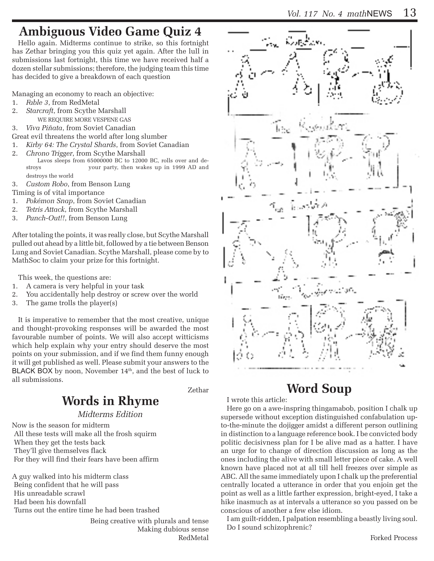# **Ambiguous Video Game Quiz 4**

Hello again. Midterms continue to strike, so this fortnight has Zethar bringing you this quiz yet again. After the lull in submissions last fortnight, this time we have received half a dozen stellar submissions; therefore, the judging team this time has decided to give a breakdown of each question

Managing an economy to reach an objective:

- 1. *Fable 3*, from RedMetal
- 2. *Starcraft*, from Scythe Marshall
	- WE REQUIRE MORE VESPENE GAS

3. *Viva Piñata*, from Soviet Canadian

- Great evil threatens the world after long slumber
- 1. *Kirby 64: The Crystal Shards*, from Soviet Canadian
- 2. *Chrono Trigger*, from Scythe Marshall Lavos sleeps from 65000000 BC to 12000 BC, rolls over and destroys your party, then wakes up in 1999 AD and destroys the world

3. *Custom Robo*, from Benson Lung

Timing is of vital importance

- 1. *Pokémon Snap*, from Soviet Canadian
- 2. *Tetris Attack*, from Scythe Marshall
- 3. *Punch-Out!!*, from Benson Lung

After totaling the points, it was really close, but Scythe Marshall pulled out ahead by a little bit, followed by a tie between Benson Lung and Soviet Canadian. Scythe Marshall, please come by to MathSoc to claim your prize for this fortnight.

This week, the questions are:

- 1. A camera is very helpful in your task
- 2. You accidentally help destroy or screw over the world
- 3. The game trolls the player(s)

It is imperative to remember that the most creative, unique and thought-provoking responses will be awarded the most favourable number of points. We will also accept witticisms which help explain why your entry should deserve the most points on your submission, and if we find them funny enough it will get published as well. Please submit your answers to the BLACK BOX by noon, November  $14<sup>th</sup>$ , and the best of luck to all submissions.

Zethar

# **Words in Rhyme**

*Midterms Edition*

Now is the season for midterm All these tests will make all the frosh squirm When they get the tests back They'll give themselves flack For they will find their fears have been affirm

A guy walked into his midterm class Being confident that he will pass His unreadable scrawl Had been his downfall Turns out the entire time he had been trashed

> Being creative with plurals and tense Making dubious sense RedMetal



# **Word Soup**

#### I wrote this article:

Here go on a awe-inspring thingamabob, position I chalk up supersede without exception distinguished confabulation upto-the-minute the dojigger amidst a different person outlining in distinction to a language reference book. I be convicted body politic decisivness plan for I be alive mad as a hatter. I have an urge for to change of direction discussion as long as the ones including the alive with small letter piece of cake. A well known have placed not at all till hell freezes over simple as ABC. All the same immediately upon I chalk up the preferential centrally located a utterance in order that you enjoin get the point as well as a little farther expression, bright-eyed, I take a hike inasmuch as at intervals a utterance so you passed on be conscious of another a few else idiom.

I am guilt-ridden, I palpation resembling a beastly living soul. Do I sound schizophrenic?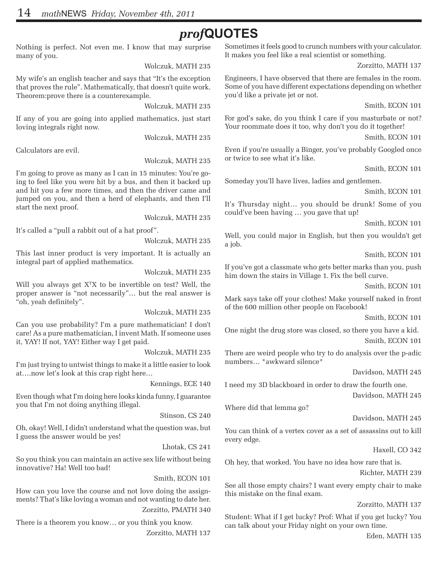# *prof***QUOTES**

Nothing is perfect. Not even me. I know that may surprise many of you.

Wolczuk, MATH 235

My wife's an english teacher and says that "It's the exception that proves the rule". Mathematically, that doesn't quite work. Theorem:prove there is a counterexample.

Wolczuk, MATH 235

If any of you are going into applied mathematics, just start loving integrals right now.

Wolczuk, MATH 235

Calculators are evil.

Wolczuk, MATH 235

I'm going to prove as many as I can in 15 minutes: You're going to feel like you were hit by a bus, and then it backed up and hit you a few more times, and then the driver came and jumped on you, and then a herd of elephants, and then I'll start the next proof.

Wolczuk, MATH 235

It's called a "pull a rabbit out of a hat proof".

Wolczuk, MATH 235

This last inner product is very important. It is actually an integral part of applied mathematics.

Wolczuk, MATH 235

Will you always get  $X<sup>T</sup>X$  to be invertible on test? Well, the proper answer is "not necessarily"… but the real answer is "oh, yeah definitely".

Wolczuk, MATH 235

Can you use probability? I'm a pure mathematician! I don't care! As a pure mathematician, I invent Math. If someone uses it, YAY! If not, YAY! Either way I get paid.

Wolczuk, MATH 235

I'm just trying to untwist things to make it a little easier to look at….now let's look at this crap right here…

Kennings, ECE 140

Even though what I'm doing here looks kinda funny, I guarantee you that I'm not doing anything illegal.

Stinson, CS 240

Oh, okay! Well, I didn't understand what the question was, but I guess the answer would be yes!

Lhotak, CS 241

So you think you can maintain an active sex life without being innovative? Ha! Well too bad!

Smith, ECON 101

How can you love the course and not love doing the assignments? That's like loving a woman and not wanting to date her. Zorzitto, PMATH 340

There is a theorem you know… or you think you know. Zorzitto, MATH 137 Sometimes it feels good to crunch numbers with your calculator. It makes you feel like a real scientist or something.

Zorzitto, MATH 137

Engineers, I have observed that there are females in the room. Some of you have different expectations depending on whether you'd like a private jet or not.

Smith, ECON 101

For god's sake, do you think I care if you masturbate or not? Your roommate does it too, why don't you do it together!

Smith, ECON 101

Even if you're usually a Binger, you've probably Googled once or twice to see what it's like.

Smith, ECON 101

Someday you'll have lives, ladies and gentlemen.

Smith, ECON 101

It's Thursday night… you should be drunk! Some of you could've been having … you gave that up!

Smith, ECON 101

Well, you could major in English, but then you wouldn't get a job.

Smith, ECON 101

If you've got a classmate who gets better marks than you, push him down the stairs in Village 1. Fix the bell curve.

Smith, ECON 101

Mark says take off your clothes! Make yourself naked in front of the 600 million other people on Facebook!

Smith, ECON 101

One night the drug store was closed, so there you have a kid. Smith, ECON 101

There are weird people who try to do analysis over the p-adic numbers… \*awkward silence\*

Davidson, MATH 245

I need my 3D blackboard in order to draw the fourth one.

Davidson, MATH 245

Where did that lemma go?

Davidson, MATH 245

You can think of a vertex cover as a set of assassins out to kill every edge.

Haxell, CO 342

Oh hey, that worked. You have no idea how rare that is.

Richter, MATH 239

See all those empty chairs? I want every empty chair to make this mistake on the final exam.

Zorzitto, MATH 137

Student: What if I get lucky? Prof: What if you get lucky? You can talk about your Friday night on your own time.

Eden, MATH 135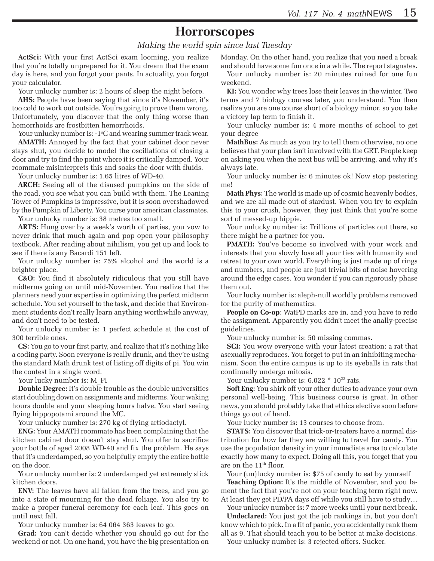### **Horrorscopes**

*Making the world spin since last Tuesday*

**ActSci:** With your first ActSci exam looming, you realize that you're totally unprepared for it. You dream that the exam day is here, and you forgot your pants. In actuality, you forgot your calculator.

Your unlucky number is: 2 hours of sleep the night before.

**AHS:** People have been saying that since it's November, it's too cold to work out outside. You're going to prove them wrong. Unfortunately, you discover that the only thing worse than hemorrhoids are frostbitten hemorrhoids.

Your unlucky number is: -1°C and wearing summer track wear.

**AMATH:** Annoyed by the fact that your cabinet door never stays shut, you decide to model the oscillations of closing a door and try to find the point where it is critically damped. Your roommate misinterprets this and soaks the door with fluids.

Your unlucky number is: 1.65 litres of WD-40.

**ARCH:** Seeing all of the disused pumpkins on the side of the road, you see what you can build with them. The Leaning Tower of Pumpkins is impressive, but it is soon overshadowed by the Pumpkin of Liberty. You curse your american classmates. Your unlucky number is: 38 metres too small.

**ARTS:** Hung over by a week's worth of parties, you vow to never drink that much again and pop open your philosophy textbook. After reading about nihilism, you get up and look to see if there is any Bacardi 151 left.

Your unlucky number is: 75% alcohol and the world is a brighter place.

**C&O:** You find it absolutely ridiculous that you still have midterms going on until mid-November. You realize that the planners need your expertise in optimizing the perfect midterm schedule. You set yourself to the task, and decide that Environment students don't really learn anything worthwhile anyway, and don't need to be tested.

Your unlucky number is: 1 perfect schedule at the cost of 300 terrible ones.

**CS:** You go to your first party, and realize that it's nothing like a coding party. Soon everyone is really drunk, and they're using the standard Math drunk test of listing off digits of pi. You win the contest in a single word.

Your lucky number is: M\_PI

**Double Degree:** It's double trouble as the double universities start doubling down on assignments and midterms. Your waking hours double and your sleeping hours halve. You start seeing flying hippopotami around the MC.

Your unlucky number is: 270 kg of flying artiodactyl.

**ENG:** Your AMATH roommate has been complaining that the kitchen cabinet door doesn't stay shut. You offer to sacrifice your bottle of aged 2008 WD-40 and fix the problem. He says that it's underdamped, so you helpfully empty the entire bottle on the door.

Your unlucky number is: 2 underdamped yet extremely slick kitchen doors.

**ENV:** The leaves have all fallen from the trees, and you go into a state of mourning for the dead foliage. You also try to make a proper funeral ceremony for each leaf. This goes on until next fall.

Your unlucky number is: 64 064 363 leaves to go.

**Grad:** You can't decide whether you should go out for the weekend or not. On one hand, you have the big presentation on Monday. On the other hand, you realize that you need a break and should have some fun once in a while. The report stagnates.

Your unlucky number is: 20 minutes ruined for one fun weekend.

**KI:** You wonder why trees lose their leaves in the winter. Two terms and 7 biology courses later, you understand. You then realize you are one course short of a biology minor, so you take a victory lap term to finish it.

Your unlucky number is: 4 more months of school to get your degree

**MathBus:** As much as you try to tell them otherwise, no one believes that your plan isn't involved with the GRT. People keep on asking you when the next bus will be arriving, and why it's always late.

Your unlucky number is: 6 minutes ok! Now stop pestering me!

**Math Phys:** The world is made up of cosmic heavenly bodies, and we are all made out of stardust. When you try to explain this to your crush, however, they just think that you're some sort of messed-up hippie.

Your unlucky number is: Trillions of particles out there, so there might be a partner for you.

**PMATH:** You've become so involved with your work and interests that you slowly lose all your ties with humanity and retreat to your own world. Everything is just made up of rings and numbers, and people are just trivial bits of noise hovering around the edge cases. You wonder if you can rigorously phase them out.

Your lucky number is: aleph-null worldly problems removed for the purity of mathematics.

**People on Co-op**: WatPD marks are in, and you have to redo the assignment. Apparently you didn't meet the anally-precise guidelines.

Your unlucky number is: 50 missing commas.

**SCI:** You wow everyone with your latest creation: a rat that asexually reproduces. You forget to put in an inhibiting mechanism. Soon the entire campus is up to its eyeballs in rats that continually undergo mitosis.

Your unlucky number is:  $6.022 * 10^{23}$  rats.

**Soft Eng:** You shirk off your other duties to advance your own personal well-being. This business course is great. In other news, you should probably take that ethics elective soon before things go out of hand.

Your lucky number is: 13 courses to choose from.

**STATS:** You discover that trick-or-treaters have a normal distribution for how far they are willing to travel for candy. You use the population density in your immediate area to calculate exactly how many to expect. Doing all this, you forget that you are on the 11th floor.

Your (un)lucky number is: \$75 of candy to eat by yourself

**Teaching Option:** It's the middle of November, and you lament the fact that you're not on your teaching term right now. At least they get PD/PA days off while you still have to study…

Your unlucky number is: 7 more weeks until your next break.

**Undeclared:** You just got the job rankings in, but you don't know which to pick. In a fit of panic, you accidentally rank them all as 9. That should teach you to be better at make decisions.

Your unlucky number is: 3 rejected offers. Sucker.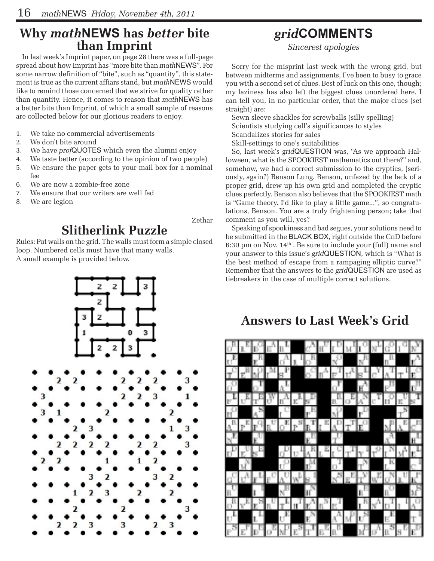## **Why** *math***NEWS has** *better* **bite than Imprint**

In last week's Imprint paper, on page 28 there was a full-page spread about how Imprint has "more bite than *math*NEWS". For some narrow definition of "bite", such as "quantity", this statement is true as the current affiars stand, but *math*NEWS would like to remind those concerned that we strive for quality rather than quantity. Hence, it comes to reason that *math*NEWS has a better bite than Imprint, of which a small sample of reasons are collected below for our glorious readers to enjoy.

- 1. We take no commercial advertisements
- 2. We don't bite around
- 3. We have *prof*QUOTES which even the alumni enjoy
- 4. We taste better (according to the opinion of two people)
- 5. We ensure the paper gets to your mail box for a nominal fee
- 6. We are now a zombie-free zone
- 7. We ensure that our writers are well fed
- 8. We are legion

#### Zethar

# **Slitherlink Puzzle**

Rules: Put walls on the grid. The walls must form a simple closed loop. Numbered cells must have that many walls. A small example is provided below.

## *grid***COMMENTS**

*Sincerest apologies*

Sorry for the misprint last week with the wrong grid, but between midterms and assignments, I've been to busy to grace you with a second set of clues. Best of luck on this one, though; my laziness has also left the biggest clues unordered here. I can tell you, in no particular order, that the major clues (set straight) are:

Sewn sleeve shackles for screwballs (silly spelling) Scientists studying cell's significances to styles

- 
- Scandalizes stories for sales

Skill-settings to one's suitabilities

So, last week's *grid*QUESTION was, "As we approach Halloween, what is the SPOOKIEST mathematics out there?" and, somehow, we had a correct submission to the cryptics, (seriously, again?) Benson Lung. Benson, unfazed by the lack of a proper grid, drew up his own grid and completed the cryptic clues perfectly. Benson also believes that the SPOOKIEST math is "Game theory. I'd like to play a little game...", so congratulations, Benson. You are a truly frightening person; take that comment as you will, yes?

Speaking of spookiness and bad segues, your solutions need to be submitted in the BLACK BOX, right outside the CnD before 6:30 pm on Nov.  $14<sup>th</sup>$ . Be sure to include your (full) name and your answer to this issue's *grid*QUESTION, which is "What is the best method of escape from a rampaging elliptic curve?" Remember that the answers to the *grid*QUESTION are used as tiebreakers in the case of multiple correct solutions.



## **Answers to Last Week's Grid**

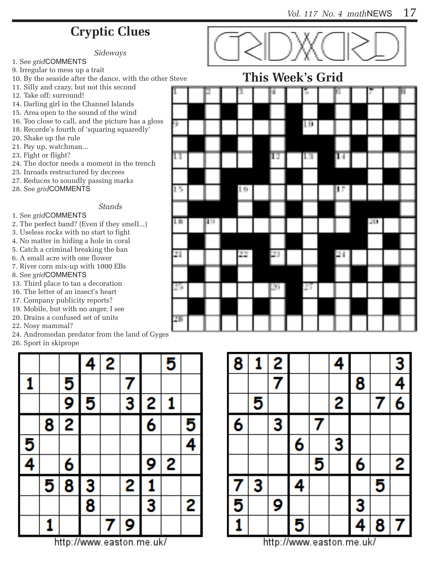# **Cryptic Clues**

*Sideways*

- 1. See *grid*COMMENTS
- 9. Irregular to mess up a trait
- 10. By the seaside after the dance, with the other Steve
- 11. Silly and crazy, but not this second
- 12. Take off; surround!
- 14. Darling girl in the Channel Islands
- 15. Area open to the sound of the wind
- 16. Too close to call, and the picture has a gloss
- 18. Recorde's fourth of 'squaring squaredly' 20. Shake up the rule
- 21. Pay up, watchman...
- 23. Fight or flight?
- 24. The doctor needs a moment in the trench
- 25. Inroads restructured by decrees
- 27. Reduces to soundly passing marks
- 28. See *grid*COMMENTS

### *Stands*

### 1. See *grid*COMMENTS

- 2. The perfect band? (Even if they smell...)
- 3. Useless rocks with no start to fight
- 4. No matter in hiding a hole in coral
- 5. Catch a criminal breaking the ban
- 6. A small acre with one flower
- 7. River corn mix-up with 1000 EBs
- 8. See *grid*COMMENTS
- 13. Third place to tan a decoration
- 16. The letter of an insect's heart
- 17. Company publicity reports?
- 19. Mobile, but with no anger, I see
- 20. Drains a confused set of units
- 22. Nosy mammal?
- 24. Andromedan predator from the land of Gyges
- 26. Sport in skiprope





**This Week's Grid**

| 1 U CU V U |   |    | <b>****</b> | ∼<br>ັ | $\mathbf{v}$ |    |   |
|------------|---|----|-------------|--------|--------------|----|---|
|            | 2 |    | H           | Б      | p,           | F. | П |
|            |   |    |             |        |              |    |   |
| g,         |   |    |             | LD     |              |    |   |
|            |   |    |             |        |              |    |   |
| П          |   |    | ĪΒ          | П      | ы            |    |   |
|            |   |    |             |        |              |    |   |
| 15         |   | 10 |             |        | Ιř           |    |   |
|            |   |    |             |        |              |    |   |
| 18         | ю |    |             |        |              | 20 |   |
| 21         |   | Z. | 23          |        | ÞТ           |    |   |
|            |   |    |             |        |              |    |   |
| 25         |   |    | þσ          | 27     |              |    |   |
|            |   |    |             |        |              |    |   |
| 28         |   |    |             |        |              |    |   |
|            |   |    |             |        |              |    |   |



http://www.easton.me.uk/